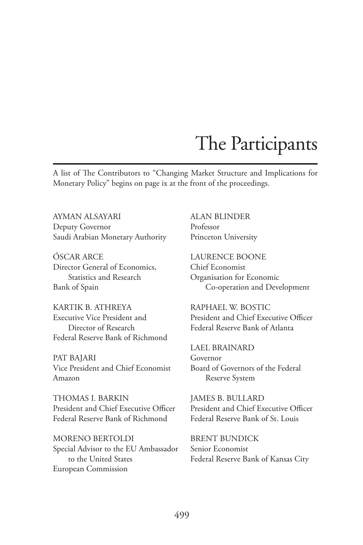A list of The Contributors to "Changing Market Structure and Implications for Monetary Policy" begins on page ix at the front of the proceedings.

AYMAN ALSAYARI Deputy Governor Saudi Arabian Monetary Authority

ÓSCAR ARCE Director General of Economics, Statistics and Research Bank of Spain

KARTIK B. ATHREYA Executive Vice President and Director of Research Federal Reserve Bank of Richmond

PAT BAJARI Vice President and Chief Economist Amazon

THOMAS I. BARKIN President and Chief Executive Officer Federal Reserve Bank of Richmond

MORENO BERTOLDI Special Advisor to the EU Ambassador to the United States European Commission

ALAN BLINDER Professor Princeton University

LAURENCE BOONE Chief Economist Organisation for Economic Co-operation and Development

RAPHAEL W. BOSTIC President and Chief Executive Officer Federal Reserve Bank of Atlanta

LAEL BRAINARD Governor Board of Governors of the Federal Reserve System

JAMES B. BULLARD President and Chief Executive Officer Federal Reserve Bank of St. Louis

BRENT BUNDICK Senior Economist Federal Reserve Bank of Kansas City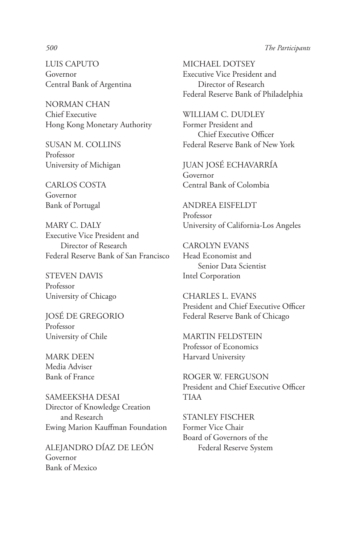LUIS CAPUTO Governor Central Bank of Argentina

NORMAN CHAN Chief Executive Hong Kong Monetary Authority

SUSAN M. COLLINS Professor University of Michigan

CARLOS COSTA Governor Bank of Portugal

MARY C. DALY Executive Vice President and Director of Research Federal Reserve Bank of San Francisco

STEVEN DAVIS Professor University of Chicago

JOSÉ DE GREGORIO Professor University of Chile

MARK DEEN Media Adviser Bank of France

SAMEEKSHA DESAI Director of Knowledge Creation and Research Ewing Marion Kauffman Foundation

ALEJANDRO DÍAZ DE LEÓN Governor Bank of Mexico

MICHAEL DOTSEY Executive Vice President and Director of Research Federal Reserve Bank of Philadelphia

WILLIAM C. DUDLEY Former President and Chief Executive Officer Federal Reserve Bank of New York

JUAN JOSÉ ECHAVARRÍA Governor Central Bank of Colombia

ANDREA EISFELDT Professor University of California-Los Angeles

CAROLYN EVANS Head Economist and Senior Data Scientist Intel Corporation

CHARLES L. EVANS President and Chief Executive Officer Federal Reserve Bank of Chicago

MARTIN FELDSTEIN Professor of Economics Harvard University

ROGER W. FERGUSON President and Chief Executive Officer TIAA

STANLEY FISCHER Former Vice Chair Board of Governors of the Federal Reserve System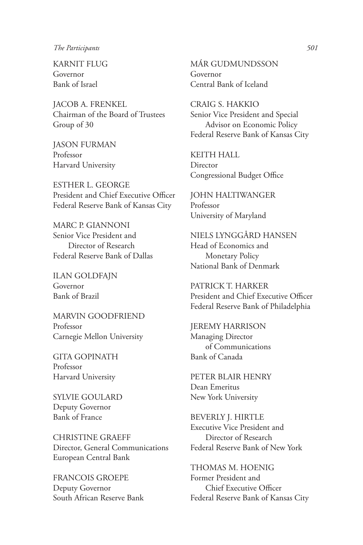KARNIT FLUG Governor Bank of Israel

JACOB A. FRENKEL Chairman of the Board of Trustees Group of 30

JASON FURMAN Professor Harvard University

ESTHER L. GEORGE President and Chief Executive Officer Federal Reserve Bank of Kansas City

MARC P. GIANNONI Senior Vice President and Director of Research Federal Reserve Bank of Dallas

ILAN GOLDFAJN Governor Bank of Brazil

MARVIN GOODFRIEND Professor Carnegie Mellon University

GITA GOPINATH Professor Harvard University

SYLVIE GOULARD Deputy Governor Bank of France

CHRISTINE GRAEFF Director, General Communications European Central Bank

FRANCOIS GROEPE Deputy Governor South African Reserve Bank MÁR GUDMUNDSSON Governor Central Bank of Iceland

CRAIG S. HAKKIO Senior Vice President and Special Advisor on Economic Policy Federal Reserve Bank of Kansas City

KEITH HALL **Director** Congressional Budget Office

JOHN HALTIWANGER Professor University of Maryland

NIELS LYNGGÅRD HANSEN Head of Economics and Monetary Policy National Bank of Denmark

PATRICK T. HARKER President and Chief Executive Officer Federal Reserve Bank of Philadelphia

JEREMY HARRISON Managing Director of Communications Bank of Canada

PETER BLAIR HENRY Dean Emeritus New York University

BEVERLY J. HIRTLE Executive Vice President and Director of Research Federal Reserve Bank of New York

THOMAS M. HOENIG Former President and Chief Executive Officer Federal Reserve Bank of Kansas City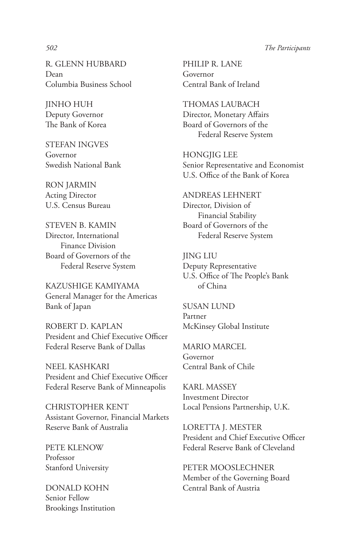R. GLENN HUBBARD Dean Columbia Business School

JINHO HUH Deputy Governor The Bank of Korea

STEFAN INGVES Governor Swedish National Bank

RON JARMIN Acting Director U.S. Census Bureau

STEVEN B. KAMIN Director, International Finance Division Board of Governors of the Federal Reserve System

KAZUSHIGE KAMIYAMA General Manager for the Americas Bank of Japan

ROBERT D. KAPLAN President and Chief Executive Officer Federal Reserve Bank of Dallas

NEEL KASHKARI President and Chief Executive Officer Federal Reserve Bank of Minneapolis

CHRISTOPHER KENT Assistant Governor, Financial Markets Reserve Bank of Australia

PETE KLENOW Professor Stanford University

DONALD KOHN Senior Fellow Brookings Institution

PHILIP R. LANE Governor Central Bank of Ireland

THOMAS LAUBACH Director, Monetary Affairs Board of Governors of the Federal Reserve System

HONGJIG LEE Senior Representative and Economist U.S. Office of the Bank of Korea

ANDREAS LEHNERT Director, Division of Financial Stability Board of Governors of the Federal Reserve System

JING LIU Deputy Representative U.S. Office of The People's Bank of China

SUSAN LUND Partner McKinsey Global Institute

MARIO MARCEL Governor Central Bank of Chile

KARL MASSEY Investment Director Local Pensions Partnership, U.K.

LORETTA J. MESTER President and Chief Executive Officer Federal Reserve Bank of Cleveland

PETER MOOSLECHNER Member of the Governing Board Central Bank of Austria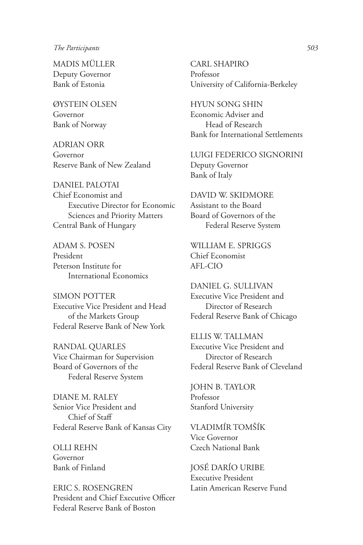MADIS MÜLLER Deputy Governor Bank of Estonia

ØYSTEIN OLSEN Governor Bank of Norway

ADRIAN ORR Governor Reserve Bank of New Zealand

DANIEL PALOTAI Chief Economist and Executive Director for Economic Sciences and Priority Matters Central Bank of Hungary

ADAM S. POSEN President Peterson Institute for International Economics

SIMON POTTER Executive Vice President and Head of the Markets Group Federal Reserve Bank of New York

RANDAL QUARLES Vice Chairman for Supervision Board of Governors of the Federal Reserve System

DIANE M. RALEY Senior Vice President and Chief of Staff Federal Reserve Bank of Kansas City

OLLI REHN Governor Bank of Finland

ERIC S. ROSENGREN President and Chief Executive Officer Federal Reserve Bank of Boston

CARL SHAPIRO Professor University of California-Berkeley

HYUN SONG SHIN Economic Adviser and Head of Research Bank for International Settlements

LUIGI FEDERICO SIGNORINI Deputy Governor Bank of Italy

DAVID W. SKIDMORE Assistant to the Board Board of Governors of the Federal Reserve System

WILLIAM E. SPRIGGS Chief Economist AFL-CIO

DANIEL G. SULLIVAN Executive Vice President and Director of Research Federal Reserve Bank of Chicago

ELLIS W. TALLMAN Executive Vice President and Director of Research Federal Reserve Bank of Cleveland

JOHN B. TAYLOR Professor Stanford University

VLADIMÍR TOMŠÍK Vice Governor Czech National Bank

JOSÉ DARÍO URIBE Executive President Latin American Reserve Fund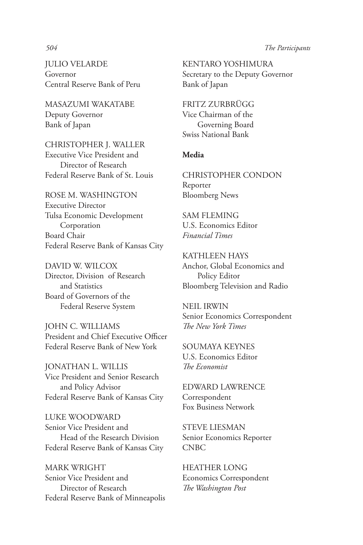JULIO VELARDE Governor Central Reserve Bank of Peru

MASAZUMI WAKATABE Deputy Governor Bank of Japan

CHRISTOPHER J. WALLER Executive Vice President and Director of Research Federal Reserve Bank of St. Louis

ROSE M. WASHINGTON Executive Director Tulsa Economic Development Corporation Board Chair Federal Reserve Bank of Kansas City

DAVID W. WILCOX Director, Division of Research and Statistics Board of Governors of the Federal Reserve System

JOHN C. WILLIAMS President and Chief Executive Officer Federal Reserve Bank of New York

JONATHAN L. WILLIS Vice President and Senior Research and Policy Advisor Federal Reserve Bank of Kansas City

LUKE WOODWARD Senior Vice President and Head of the Research Division Federal Reserve Bank of Kansas City

MARK WRIGHT Senior Vice President and Director of Research Federal Reserve Bank of Minneapolis

KENTARO YOSHIMURA Secretary to the Deputy Governor Bank of Japan

FRITZ ZURBRÜGG Vice Chairman of the Governing Board Swiss National Bank

## **Media**

CHRISTOPHER CONDON Reporter Bloomberg News

SAM FLEMING U.S. Economics Editor *Financial Times*

KATHLEEN HAYS Anchor, Global Economics and Policy Editor Bloomberg Television and Radio

NEIL IRWIN Senior Economics Correspondent *The New York Times*

SOUMAYA KEYNES U.S. Economics Editor *The Economist*

EDWARD LAWRENCE Correspondent Fox Business Network

STEVE LIESMAN Senior Economics Reporter CNBC

HEATHER LONG Economics Correspondent *The Washington Post*